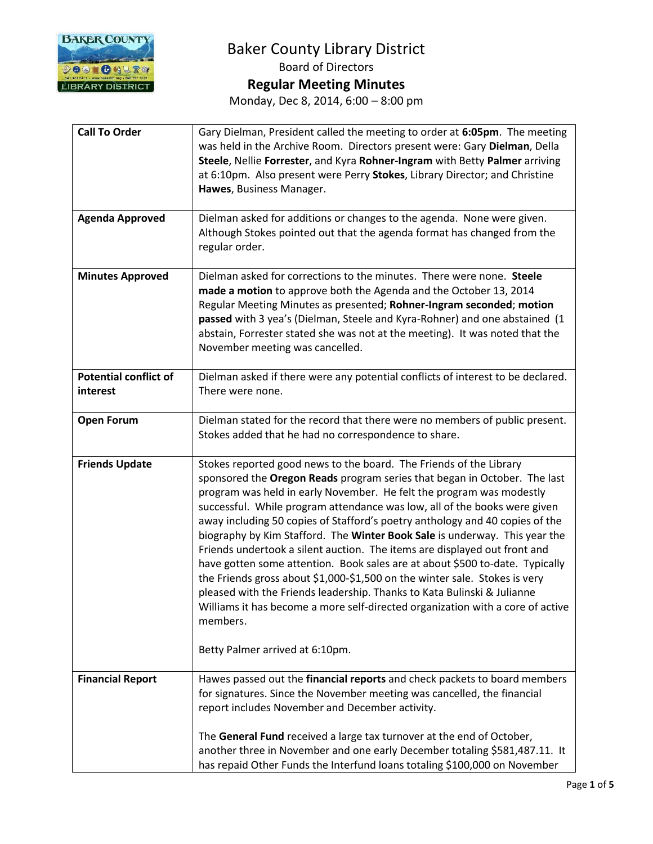

# Baker County Library District Board of Directors **Regular Meeting Minutes**

Monday, Dec 8, 2014, 6:00 – 8:00 pm

| <b>Call To Order</b>                     | Gary Dielman, President called the meeting to order at 6:05pm. The meeting<br>was held in the Archive Room. Directors present were: Gary Dielman, Della<br>Steele, Nellie Forrester, and Kyra Rohner-Ingram with Betty Palmer arriving<br>at 6:10pm. Also present were Perry Stokes, Library Director; and Christine<br>Hawes, Business Manager.                                                                                                                                                                                                                                                                                                                                                                                                                                                                                                                                                                          |
|------------------------------------------|---------------------------------------------------------------------------------------------------------------------------------------------------------------------------------------------------------------------------------------------------------------------------------------------------------------------------------------------------------------------------------------------------------------------------------------------------------------------------------------------------------------------------------------------------------------------------------------------------------------------------------------------------------------------------------------------------------------------------------------------------------------------------------------------------------------------------------------------------------------------------------------------------------------------------|
| <b>Agenda Approved</b>                   | Dielman asked for additions or changes to the agenda. None were given.<br>Although Stokes pointed out that the agenda format has changed from the<br>regular order.                                                                                                                                                                                                                                                                                                                                                                                                                                                                                                                                                                                                                                                                                                                                                       |
| <b>Minutes Approved</b>                  | Dielman asked for corrections to the minutes. There were none. Steele<br>made a motion to approve both the Agenda and the October 13, 2014<br>Regular Meeting Minutes as presented; Rohner-Ingram seconded; motion<br>passed with 3 yea's (Dielman, Steele and Kyra-Rohner) and one abstained (1<br>abstain, Forrester stated she was not at the meeting). It was noted that the<br>November meeting was cancelled.                                                                                                                                                                                                                                                                                                                                                                                                                                                                                                       |
| <b>Potential conflict of</b><br>interest | Dielman asked if there were any potential conflicts of interest to be declared.<br>There were none.                                                                                                                                                                                                                                                                                                                                                                                                                                                                                                                                                                                                                                                                                                                                                                                                                       |
| <b>Open Forum</b>                        | Dielman stated for the record that there were no members of public present.<br>Stokes added that he had no correspondence to share.                                                                                                                                                                                                                                                                                                                                                                                                                                                                                                                                                                                                                                                                                                                                                                                       |
| <b>Friends Update</b>                    | Stokes reported good news to the board. The Friends of the Library<br>sponsored the Oregon Reads program series that began in October. The last<br>program was held in early November. He felt the program was modestly<br>successful. While program attendance was low, all of the books were given<br>away including 50 copies of Stafford's poetry anthology and 40 copies of the<br>biography by Kim Stafford. The Winter Book Sale is underway. This year the<br>Friends undertook a silent auction. The items are displayed out front and<br>have gotten some attention. Book sales are at about \$500 to-date. Typically<br>the Friends gross about \$1,000-\$1,500 on the winter sale. Stokes is very<br>pleased with the Friends leadership. Thanks to Kata Bulinski & Julianne<br>Williams it has become a more self-directed organization with a core of active<br>members.<br>Betty Palmer arrived at 6:10pm. |
|                                          |                                                                                                                                                                                                                                                                                                                                                                                                                                                                                                                                                                                                                                                                                                                                                                                                                                                                                                                           |
| <b>Financial Report</b>                  | Hawes passed out the financial reports and check packets to board members<br>for signatures. Since the November meeting was cancelled, the financial<br>report includes November and December activity.                                                                                                                                                                                                                                                                                                                                                                                                                                                                                                                                                                                                                                                                                                                   |
|                                          | The General Fund received a large tax turnover at the end of October,<br>another three in November and one early December totaling \$581,487.11. It<br>has repaid Other Funds the Interfund loans totaling \$100,000 on November                                                                                                                                                                                                                                                                                                                                                                                                                                                                                                                                                                                                                                                                                          |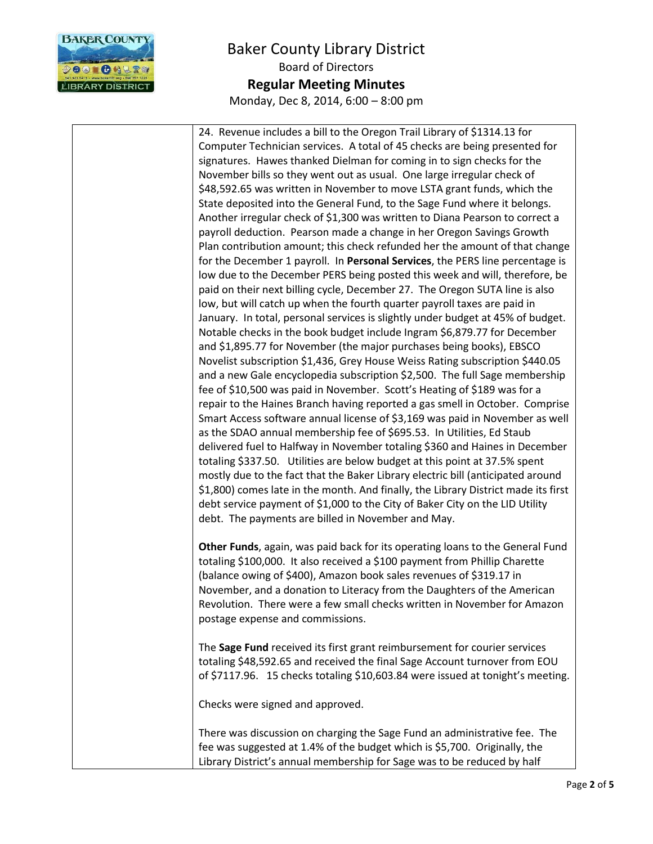

24. Revenue includes a bill to the Oregon Trail Library of \$1314.13 for Computer Technician services. A total of 45 checks are being presented for signatures. Hawes thanked Dielman for coming in to sign checks for the November bills so they went out as usual. One large irregular check of \$48,592.65 was written in November to move LSTA grant funds, which the State deposited into the General Fund, to the Sage Fund where it belongs. Another irregular check of \$1,300 was written to Diana Pearson to correct a payroll deduction. Pearson made a change in her Oregon Savings Growth Plan contribution amount; this check refunded her the amount of that change for the December 1 payroll. In **Personal Services**, the PERS line percentage is low due to the December PERS being posted this week and will, therefore, be paid on their next billing cycle, December 27. The Oregon SUTA line is also low, but will catch up when the fourth quarter payroll taxes are paid in January. In total, personal services is slightly under budget at 45% of budget. Notable checks in the book budget include Ingram \$6,879.77 for December and \$1,895.77 for November (the major purchases being books), EBSCO Novelist subscription \$1,436, Grey House Weiss Rating subscription \$440.05 and a new Gale encyclopedia subscription \$2,500. The full Sage membership fee of \$10,500 was paid in November. Scott's Heating of \$189 was for a repair to the Haines Branch having reported a gas smell in October. Comprise Smart Access software annual license of \$3,169 was paid in November as well as the SDAO annual membership fee of \$695.53. In Utilities, Ed Staub delivered fuel to Halfway in November totaling \$360 and Haines in December totaling \$337.50. Utilities are below budget at this point at 37.5% spent mostly due to the fact that the Baker Library electric bill (anticipated around \$1,800) comes late in the month. And finally, the Library District made its first debt service payment of \$1,000 to the City of Baker City on the LID Utility debt. The payments are billed in November and May. **Other Funds**, again, was paid back for its operating loans to the General Fund totaling \$100,000. It also received a \$100 payment from Phillip Charette (balance owing of \$400), Amazon book sales revenues of \$319.17 in November, and a donation to Literacy from the Daughters of the American Revolution. There were a few small checks written in November for Amazon postage expense and commissions. The **Sage Fund** received its first grant reimbursement for courier services totaling \$48,592.65 and received the final Sage Account turnover from EOU of \$7117.96. 15 checks totaling \$10,603.84 were issued at tonight's meeting. Checks were signed and approved. There was discussion on charging the Sage Fund an administrative fee. The fee was suggested at 1.4% of the budget which is \$5,700. Originally, the Library District's annual membership for Sage was to be reduced by half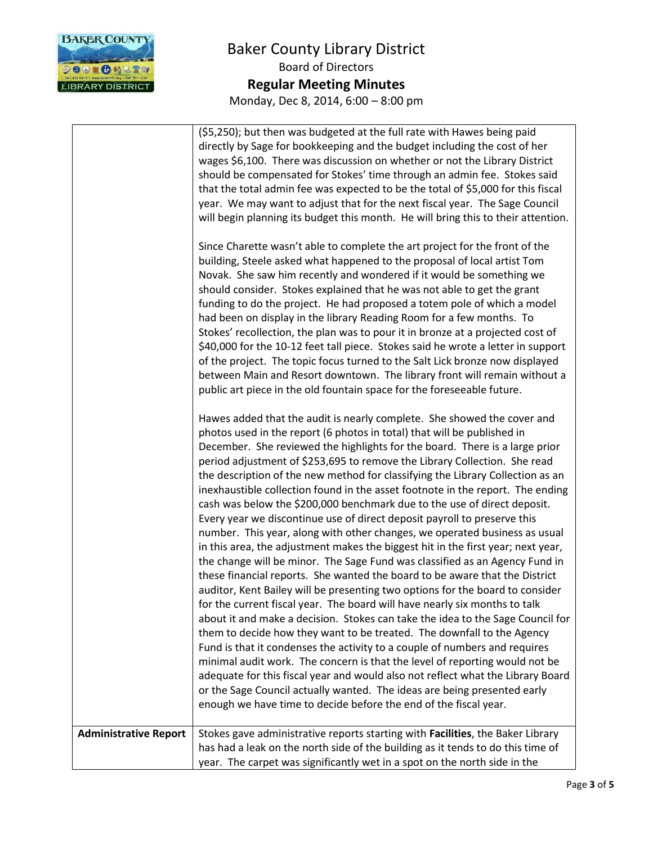

|                              | (\$5,250); but then was budgeted at the full rate with Hawes being paid<br>directly by Sage for bookkeeping and the budget including the cost of her<br>wages \$6,100. There was discussion on whether or not the Library District<br>should be compensated for Stokes' time through an admin fee. Stokes said<br>that the total admin fee was expected to be the total of \$5,000 for this fiscal<br>year. We may want to adjust that for the next fiscal year. The Sage Council<br>will begin planning its budget this month. He will bring this to their attention.<br>Since Charette wasn't able to complete the art project for the front of the                                                                                                                                                                                                                                                                                                                                                                                                                                                                                                                                                                                                                                                                                                                                                                                                                                                                                                                                                                                                                                                 |
|------------------------------|-------------------------------------------------------------------------------------------------------------------------------------------------------------------------------------------------------------------------------------------------------------------------------------------------------------------------------------------------------------------------------------------------------------------------------------------------------------------------------------------------------------------------------------------------------------------------------------------------------------------------------------------------------------------------------------------------------------------------------------------------------------------------------------------------------------------------------------------------------------------------------------------------------------------------------------------------------------------------------------------------------------------------------------------------------------------------------------------------------------------------------------------------------------------------------------------------------------------------------------------------------------------------------------------------------------------------------------------------------------------------------------------------------------------------------------------------------------------------------------------------------------------------------------------------------------------------------------------------------------------------------------------------------------------------------------------------------|
|                              | building, Steele asked what happened to the proposal of local artist Tom<br>Novak. She saw him recently and wondered if it would be something we<br>should consider. Stokes explained that he was not able to get the grant<br>funding to do the project. He had proposed a totem pole of which a model<br>had been on display in the library Reading Room for a few months. To<br>Stokes' recollection, the plan was to pour it in bronze at a projected cost of<br>\$40,000 for the 10-12 feet tall piece. Stokes said he wrote a letter in support<br>of the project. The topic focus turned to the Salt Lick bronze now displayed<br>between Main and Resort downtown. The library front will remain without a<br>public art piece in the old fountain space for the foreseeable future.                                                                                                                                                                                                                                                                                                                                                                                                                                                                                                                                                                                                                                                                                                                                                                                                                                                                                                          |
|                              | Hawes added that the audit is nearly complete. She showed the cover and<br>photos used in the report (6 photos in total) that will be published in<br>December. She reviewed the highlights for the board. There is a large prior<br>period adjustment of \$253,695 to remove the Library Collection. She read<br>the description of the new method for classifying the Library Collection as an<br>inexhaustible collection found in the asset footnote in the report. The ending<br>cash was below the \$200,000 benchmark due to the use of direct deposit.<br>Every year we discontinue use of direct deposit payroll to preserve this<br>number. This year, along with other changes, we operated business as usual<br>in this area, the adjustment makes the biggest hit in the first year; next year,<br>the change will be minor. The Sage Fund was classified as an Agency Fund in<br>these financial reports. She wanted the board to be aware that the District<br>auditor, Kent Bailey will be presenting two options for the board to consider<br>for the current fiscal year. The board will have nearly six months to talk<br>about it and make a decision. Stokes can take the idea to the Sage Council for<br>them to decide how they want to be treated. The downfall to the Agency<br>Fund is that it condenses the activity to a couple of numbers and requires<br>minimal audit work. The concern is that the level of reporting would not be<br>adequate for this fiscal year and would also not reflect what the Library Board<br>or the Sage Council actually wanted. The ideas are being presented early<br>enough we have time to decide before the end of the fiscal year. |
| <b>Administrative Report</b> | Stokes gave administrative reports starting with Facilities, the Baker Library<br>has had a leak on the north side of the building as it tends to do this time of<br>year. The carpet was significantly wet in a spot on the north side in the                                                                                                                                                                                                                                                                                                                                                                                                                                                                                                                                                                                                                                                                                                                                                                                                                                                                                                                                                                                                                                                                                                                                                                                                                                                                                                                                                                                                                                                        |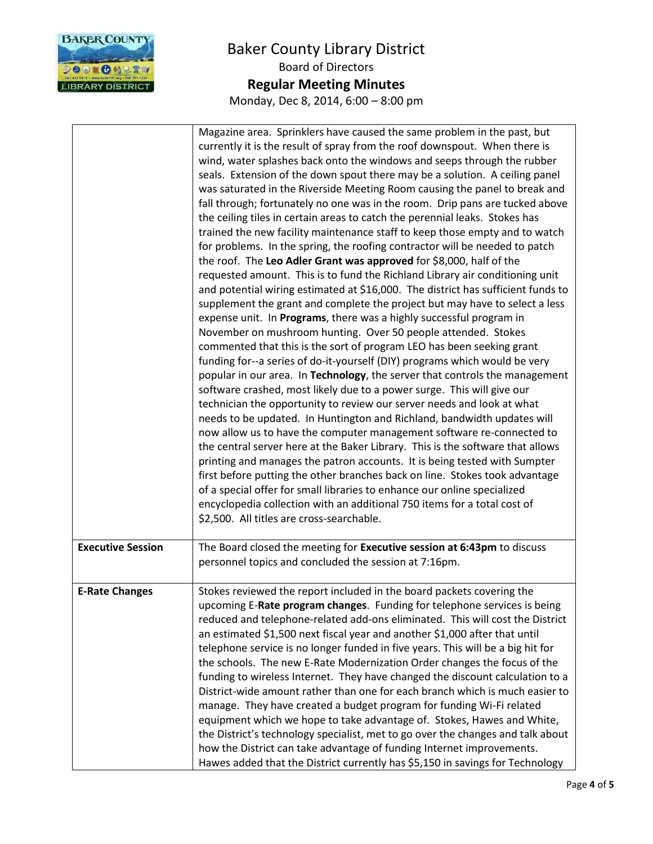

|                          | Magazine area. Sprinklers have caused the same problem in the past, but<br>currently it is the result of spray from the roof downspout. When there is<br>wind, water splashes back onto the windows and seeps through the rubber<br>seals. Extension of the down spout there may be a solution. A ceiling panel<br>was saturated in the Riverside Meeting Room causing the panel to break and<br>fall through; fortunately no one was in the room. Drip pans are tucked above<br>the ceiling tiles in certain areas to catch the perennial leaks. Stokes has<br>trained the new facility maintenance staff to keep those empty and to watch<br>for problems. In the spring, the roofing contractor will be needed to patch<br>the roof. The Leo Adler Grant was approved for \$8,000, half of the<br>requested amount. This is to fund the Richland Library air conditioning unit<br>and potential wiring estimated at \$16,000. The district has sufficient funds to<br>supplement the grant and complete the project but may have to select a less<br>expense unit. In Programs, there was a highly successful program in<br>November on mushroom hunting. Over 50 people attended. Stokes<br>commented that this is the sort of program LEO has been seeking grant<br>funding for--a series of do-it-yourself (DIY) programs which would be very<br>popular in our area. In Technology, the server that controls the management<br>software crashed, most likely due to a power surge. This will give our<br>technician the opportunity to review our server needs and look at what<br>needs to be updated. In Huntington and Richland, bandwidth updates will<br>now allow us to have the computer management software re-connected to<br>the central server here at the Baker Library. This is the software that allows<br>printing and manages the patron accounts. It is being tested with Sumpter<br>first before putting the other branches back on line. Stokes took advantage<br>of a special offer for small libraries to enhance our online specialized<br>encyclopedia collection with an additional 750 items for a total cost of<br>\$2,500. All titles are cross-searchable. |
|--------------------------|-----------------------------------------------------------------------------------------------------------------------------------------------------------------------------------------------------------------------------------------------------------------------------------------------------------------------------------------------------------------------------------------------------------------------------------------------------------------------------------------------------------------------------------------------------------------------------------------------------------------------------------------------------------------------------------------------------------------------------------------------------------------------------------------------------------------------------------------------------------------------------------------------------------------------------------------------------------------------------------------------------------------------------------------------------------------------------------------------------------------------------------------------------------------------------------------------------------------------------------------------------------------------------------------------------------------------------------------------------------------------------------------------------------------------------------------------------------------------------------------------------------------------------------------------------------------------------------------------------------------------------------------------------------------------------------------------------------------------------------------------------------------------------------------------------------------------------------------------------------------------------------------------------------------------------------------------------------------------------------------------------------------------------------------------------------------------------------------------------------------------------------------------------------------------------------------------|
| <b>Executive Session</b> | The Board closed the meeting for Executive session at 6:43pm to discuss<br>personnel topics and concluded the session at 7:16pm.                                                                                                                                                                                                                                                                                                                                                                                                                                                                                                                                                                                                                                                                                                                                                                                                                                                                                                                                                                                                                                                                                                                                                                                                                                                                                                                                                                                                                                                                                                                                                                                                                                                                                                                                                                                                                                                                                                                                                                                                                                                              |
| <b>E-Rate Changes</b>    | Stokes reviewed the report included in the board packets covering the<br>upcoming E-Rate program changes. Funding for telephone services is being<br>reduced and telephone-related add-ons eliminated. This will cost the District<br>an estimated \$1,500 next fiscal year and another \$1,000 after that until<br>telephone service is no longer funded in five years. This will be a big hit for<br>the schools. The new E-Rate Modernization Order changes the focus of the<br>funding to wireless Internet. They have changed the discount calculation to a<br>District-wide amount rather than one for each branch which is much easier to<br>manage. They have created a budget program for funding Wi-Fi related<br>equipment which we hope to take advantage of. Stokes, Hawes and White,<br>the District's technology specialist, met to go over the changes and talk about<br>how the District can take advantage of funding Internet improvements.<br>Hawes added that the District currently has \$5,150 in savings for Technology                                                                                                                                                                                                                                                                                                                                                                                                                                                                                                                                                                                                                                                                                                                                                                                                                                                                                                                                                                                                                                                                                                                                               |